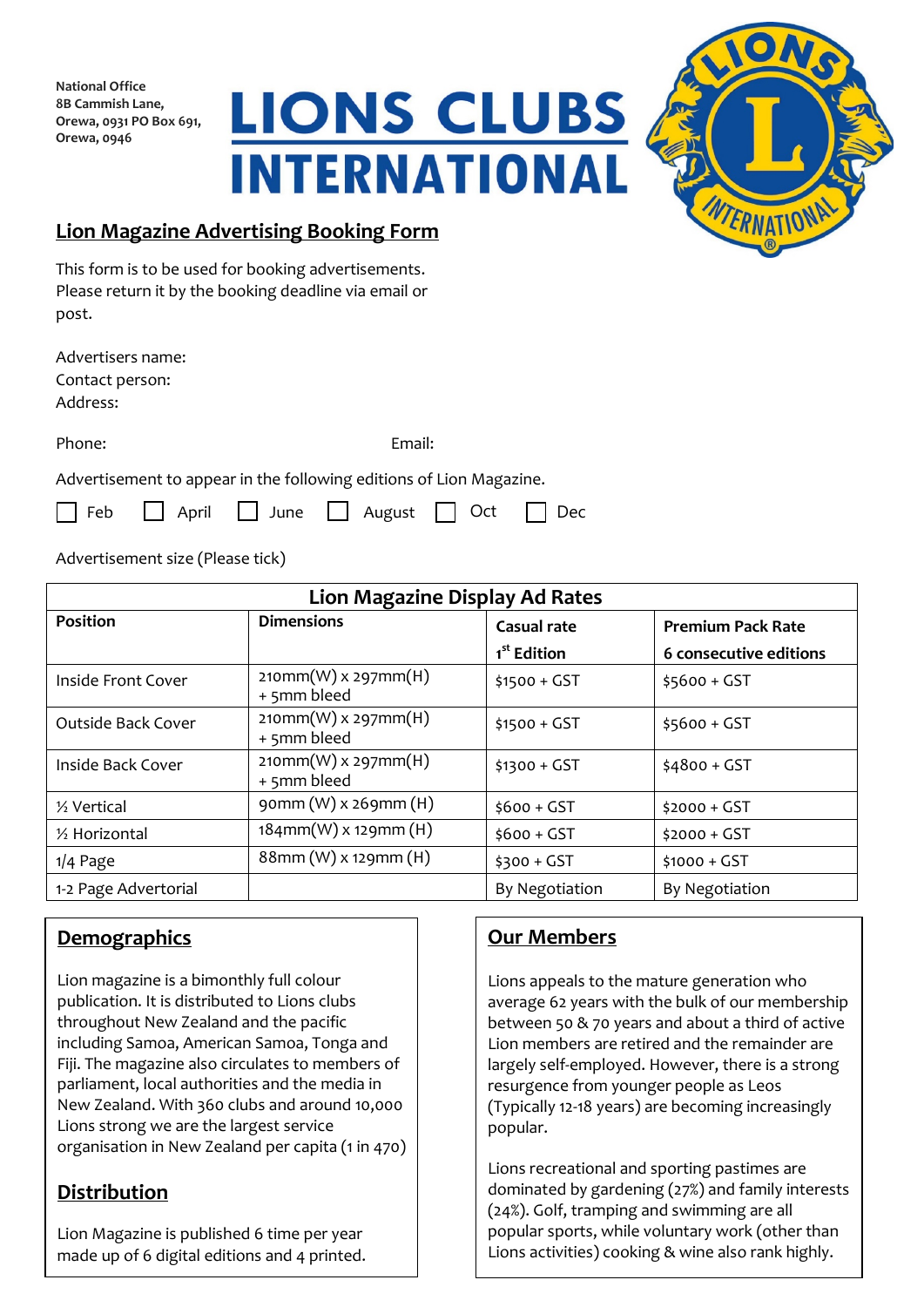**National Office 8B Cammish Lane, Orewa, 0931 PO Box 691, Orewa, 0946**





# **Lion Magazine Advertising Booking Form**

This form is to be used for booking advertisements. Please return it by the booking deadline via email or post.

Advertisers name: Contact person: Address:

Phone: Email:

Advertisement to appear in the following editions of Lion Magazine.

| Feb April June August O Ct Dec |  |  |  |  |  |  |
|--------------------------------|--|--|--|--|--|--|
|--------------------------------|--|--|--|--|--|--|

Advertisement size (Please tick)

| <b>Lion Magazine Display Ad Rates</b> |                                      |                         |                          |  |  |
|---------------------------------------|--------------------------------------|-------------------------|--------------------------|--|--|
| <b>Position</b>                       | <b>Dimensions</b>                    | <b>Casual rate</b>      | <b>Premium Pack Rate</b> |  |  |
|                                       |                                      | 1 <sup>st</sup> Edition | 6 consecutive editions   |  |  |
| Inside Front Cover                    | $210mm(W)$ x 297mm(H)<br>+ 5mm bleed | $$1500 + GST$           | $$5600 + GST$            |  |  |
| <b>Outside Back Cover</b>             | $210mm(W)$ x 297mm(H)<br>+ 5mm bleed | $$1500 + GST$           | $$5600 + GST$            |  |  |
| Inside Back Cover                     | $210mm(W)$ x 297mm(H)<br>+ 5mm bleed | $$1300 + GST$           | $$4800 + GST$            |  |  |
| 1/2 Vertical                          | $gamma(W)$ x 269mm (H)               | $$600 + GST$            | $$2000 + GST$            |  |  |
| 1/2 Horizontal                        | $184$ mm $(W)$ x 129mm $(H)$         | $$600 + GST$            | $$2000 + GST$            |  |  |
| $1/4$ Page                            | 88mm (W) x 129mm (H)                 | $$300 + GST$            | $$1000 + GST$            |  |  |
| 1-2 Page Advertorial                  |                                      | By Negotiation          | By Negotiation           |  |  |

# **Demographics**

Lion magazine is a bimonthly full colour publication. It is distributed to Lions clubs throughout New Zealand and the pacific including Samoa, American Samoa, Tonga and Fiji. The magazine also circulates to members of parliament, local authorities and the media in New Zealand. With 360 clubs and around 10,000 Lions strong we are the largest service organisation in New Zealand per capita (1 in 470)

# **Distribution**

Lion Magazine is published 6 time per year made up of 6 digital editions and 4 printed.

# **Our Members**

Lions appeals to the mature generation who average 62 years with the bulk of our membership between 50 & 70 years and about a third of active Lion members are retired and the remainder are largely self-employed. However, there is a strong resurgence from younger people as Leos (Typically 12-18 years) are becoming increasingly popular.

Lions recreational and sporting pastimes are dominated by gardening (27%) and family interests (24%). Golf, tramping and swimming are all popular sports, while voluntary work (other than Lions activities) cooking & wine also rank highly.